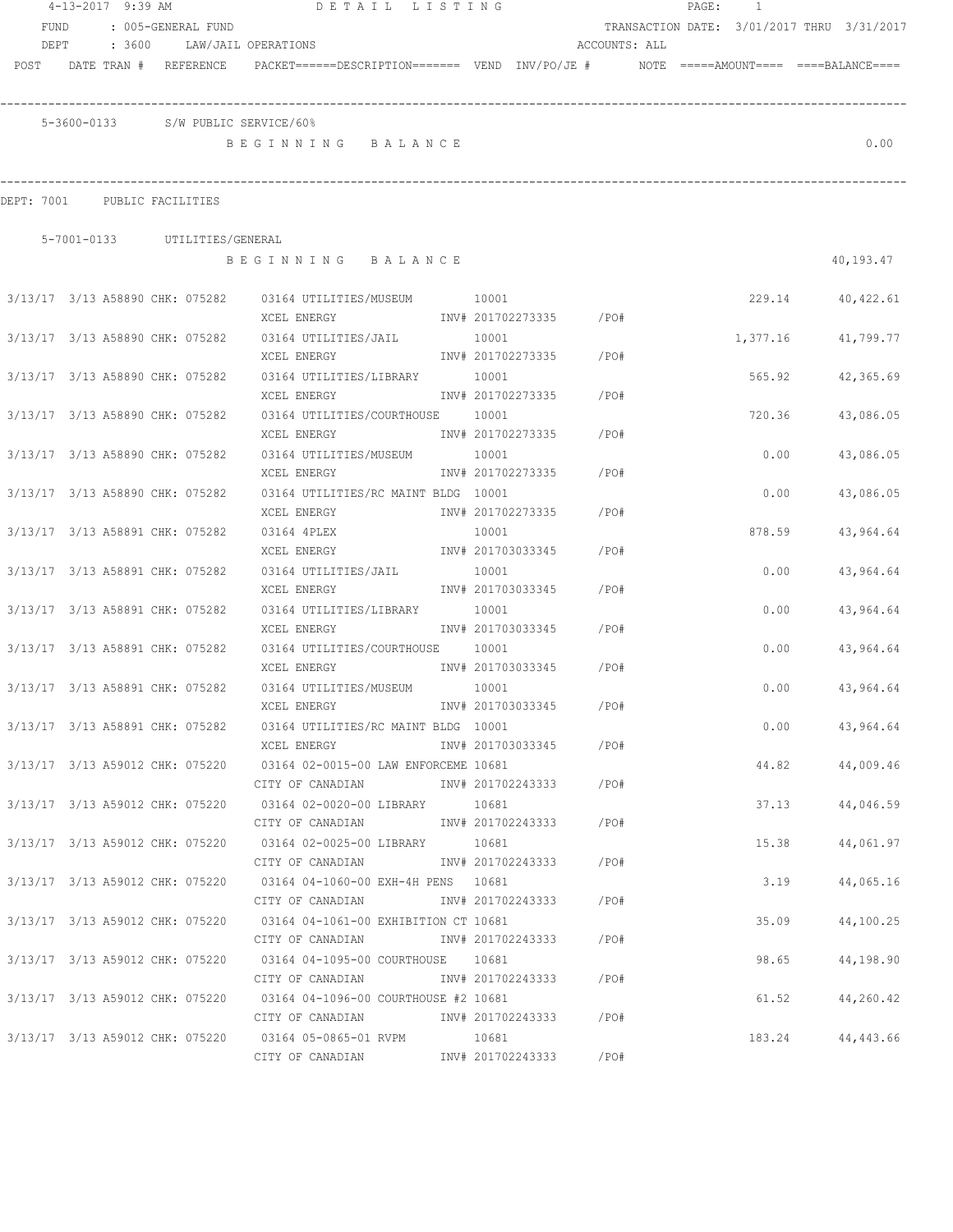|                                 | 4-13-2017 9:39 AM |  |                               | DETAIL LISTING                                                                                                                    |                   |                         |               | PAGE: 1 |          |                                            |
|---------------------------------|-------------------|--|-------------------------------|-----------------------------------------------------------------------------------------------------------------------------------|-------------------|-------------------------|---------------|---------|----------|--------------------------------------------|
| <b>FUND</b>                     |                   |  | : 005-GENERAL FUND            |                                                                                                                                   |                   |                         |               |         |          | TRANSACTION DATE: 3/01/2017 THRU 3/31/2017 |
| DEPT                            |                   |  |                               | : 3600 LAW/JAIL OPERATIONS                                                                                                        |                   |                         | ACCOUNTS: ALL |         |          |                                            |
|                                 |                   |  | POST DATE TRAN # REFERENCE    | PACKET======DESCRIPTION======= VEND INV/PO/JE #    NOTE =====AMOUNT==== ====BALANCE====                                           |                   |                         |               |         |          |                                            |
|                                 |                   |  |                               |                                                                                                                                   |                   |                         |               |         |          |                                            |
|                                 |                   |  |                               | 5-3600-0133 S/W PUBLIC SERVICE/60%                                                                                                |                   |                         |               |         |          |                                            |
|                                 |                   |  |                               | BEGINNING BALANCE                                                                                                                 |                   |                         |               |         |          | 0.00                                       |
| DEPT: 7001 PUBLIC FACILITIES    |                   |  |                               |                                                                                                                                   |                   |                         |               |         |          |                                            |
|                                 |                   |  |                               |                                                                                                                                   |                   |                         |               |         |          |                                            |
|                                 |                   |  | 5-7001-0133 UTILITIES/GENERAL | BEGINNING BALANCE                                                                                                                 |                   |                         |               |         |          | 40,193.47                                  |
|                                 |                   |  |                               | 3/13/17 3/13 A58890 CHK: 075282 03164 UTILITIES/MUSEUM 10001                                                                      |                   |                         |               |         | 229.14   | 40,422.61                                  |
|                                 |                   |  |                               |                                                                                                                                   |                   |                         |               |         |          |                                            |
|                                 |                   |  |                               | 3/13/17 3/13 A58890 CHK: 075282 03164 UTILITIES/JAIL 10001                                                                        |                   |                         |               |         | 1,377.16 | 41,799.77                                  |
|                                 |                   |  |                               | XCEL ENERGY                                                                                                                       |                   | INV# 201702273335 /PO#  |               |         |          |                                            |
| 3/13/17 3/13 A58890 CHK: 075282 |                   |  |                               | 03164 UTILITIES/LIBRARY 10001                                                                                                     |                   |                         |               |         | 565.92   | 42,365.69                                  |
|                                 |                   |  |                               | XCEL ENERGY                                                                                                                       |                   | INV# 201702273335 /PO#  |               |         |          |                                            |
| 3/13/17 3/13 A58890 CHK: 075282 |                   |  |                               | 03164 UTILITIES/COURTHOUSE 10001                                                                                                  |                   |                         |               |         | 720.36   | 43,086.05                                  |
|                                 |                   |  |                               | XCEL ENERGY                                                                                                                       |                   | INV# 201702273335 /PO#  |               |         |          |                                            |
| 3/13/17 3/13 A58890 CHK: 075282 |                   |  |                               | 03164 UTILITIES/MUSEUM 10001                                                                                                      |                   |                         |               |         | 0.00     | 43,086.05                                  |
|                                 |                   |  |                               | XCEL ENERGY                                                                                                                       | INV# 201702273335 |                         | /PO#          |         |          |                                            |
| 3/13/17 3/13 A58890 CHK: 075282 |                   |  |                               | 03164 UTILITIES/RC MAINT BLDG 10001                                                                                               |                   |                         |               |         | 0.00     | 43,086.05                                  |
|                                 |                   |  |                               | XCEL ENERGY                                                                                                                       | INV# 201702273335 |                         | /PO#          |         |          |                                            |
| 3/13/17 3/13 A58891 CHK: 075282 |                   |  |                               | 03164 4PLEX                                                                                                                       | 10001             |                         |               |         | 878.59   | 43,964.64                                  |
|                                 |                   |  |                               | INV# 201703033345<br>XCEL ENERGY                                                                                                  |                   |                         | /PO#          |         |          |                                            |
| 3/13/17 3/13 A58891 CHK: 075282 |                   |  |                               | 03164 UTILITIES/JAIL                                                                                                              | 10001             |                         |               |         | 0.00     | 43,964.64                                  |
|                                 |                   |  |                               | XCEL ENERGY                                                                                                                       |                   | INV# 201703033345 /PO#  |               |         |          |                                            |
| 3/13/17 3/13 A58891 CHK: 075282 |                   |  |                               | 03164 UTILITIES/LIBRARY                                                                                                           | 10001             |                         |               |         | 0.00     | 43,964.64                                  |
|                                 |                   |  |                               | XCEL ENERGY                                                                                                                       |                   | INV# 201703033345 /PO#  |               |         |          |                                            |
| 3/13/17 3/13 A58891 CHK: 075282 |                   |  |                               | 03164 UTILITIES/COURTHOUSE 10001                                                                                                  |                   |                         |               |         | 0.00     | 43,964.64                                  |
|                                 |                   |  |                               | XCEL ENERGY 1NV# 201703033345 /PO#                                                                                                |                   |                         |               |         |          |                                            |
| 3/13/17 3/13 A58891 CHK: 075282 |                   |  |                               | 03164 UTILITIES/MUSEUM 10001                                                                                                      |                   |                         |               |         | 0.00     | 43,964.64                                  |
|                                 |                   |  |                               | XCEL ENERGY                                                                                                                       |                   | INV# 201703033345       | /PO#          |         |          |                                            |
|                                 |                   |  |                               | 3/13/17 3/13 A58891 CHK: 075282 03164 UTILITIES/RC MAINT BLDG 10001                                                               |                   |                         |               |         |          | $0.00$ 43,964.64                           |
|                                 |                   |  |                               | XCEL ENERGY                                                                                                                       |                   | INV# 201703033345 /PO#  |               |         |          |                                            |
|                                 |                   |  |                               | 3/13/17 3/13 A59012 CHK: 075220 03164 02-0015-00 LAW ENFORCEME 10681                                                              |                   |                         |               |         |          | 44.82<br>44,009.46                         |
|                                 |                   |  |                               | CITY OF CANADIAN                                                                                                                  |                   | INV# 201702243333 /PO#  |               |         |          |                                            |
|                                 |                   |  |                               | 3/13/17 3/13 A59012 CHK: 075220 03164 02-0020-00 LIBRARY 10681                                                                    |                   |                         |               |         |          | 37.13<br>44,046.59                         |
|                                 |                   |  |                               | CITY OF CANADIAN 1NV# 201702243333 / PO#                                                                                          |                   |                         |               |         |          |                                            |
|                                 |                   |  |                               | 3/13/17 3/13 A59012 CHK: 075220 03164 02-0025-00 LIBRARY 10681                                                                    |                   |                         |               |         | 15.38    | 44,061.97                                  |
|                                 |                   |  |                               | CITY OF CANADIAN                                                                                                                  |                   | INV# 201702243333 / PO# |               |         |          |                                            |
|                                 |                   |  |                               | 3/13/17 3/13 A59012 CHK: 075220 03164 04-1060-00 EXH-4H PENS 10681                                                                |                   | INV# 201702243333 /PO#  |               |         | 3.19     | 44,065.16                                  |
|                                 |                   |  |                               | CITY OF CANADIAN                                                                                                                  |                   |                         |               |         |          |                                            |
|                                 |                   |  |                               | 3/13/17 3/13 A59012 CHK: 075220 03164 04-1061-00 EXHIBITION CT 10681<br>CITY OF CANADIAN MW# 201702243333 / PO#                   |                   |                         |               |         | 35.09    | 44,100.25                                  |
|                                 |                   |  |                               |                                                                                                                                   |                   |                         |               |         |          |                                            |
|                                 |                   |  |                               | 3/13/17 3/13 A59012 CHK: 075220 03164 04-1095-00 COURTHOUSE 10681<br>CITY OF CANADIAN 1NV# 201702243333 / PO#                     |                   |                         |               |         | 98.65    | 44,198.90                                  |
|                                 |                   |  |                               |                                                                                                                                   |                   |                         |               |         |          |                                            |
|                                 |                   |  |                               | 3/13/17 3/13 A59012 CHK: 075220 03164 04-1096-00 COURTHOUSE #2 10681<br>CITY OF CANADIAN              INV# 201702243333      /PO# |                   |                         |               |         | 61.52    | 44,260.42                                  |
|                                 |                   |  |                               | 3/13/17 3/13 A59012 CHK: 075220 03164 05-0865-01 RVPM 10681                                                                       |                   |                         |               |         | 183.24   | 44,443.66                                  |
|                                 |                   |  |                               | CITY OF CANADIAN                           INV# 201702243333           /PO#                                                       |                   |                         |               |         |          |                                            |
|                                 |                   |  |                               |                                                                                                                                   |                   |                         |               |         |          |                                            |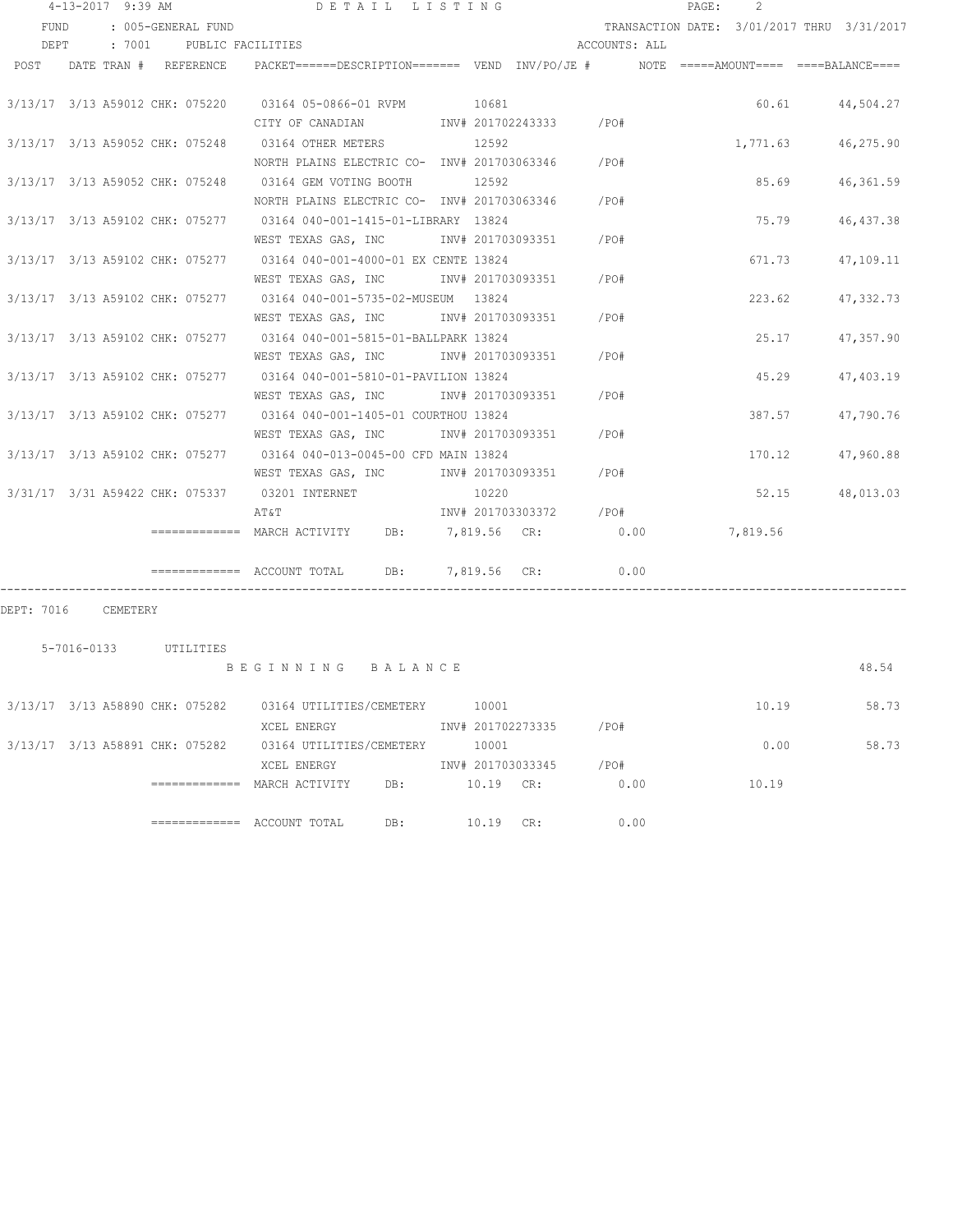|      | $4 - 13 - 2017$ 9:39 AM |                          | DETAIL LISTING                                                                                                 |       |                        |               | PAGE: | $\mathcal{P}$ |                                            |
|------|-------------------------|--------------------------|----------------------------------------------------------------------------------------------------------------|-------|------------------------|---------------|-------|---------------|--------------------------------------------|
| FUND |                         | : 005-GENERAL FUND       |                                                                                                                |       |                        |               |       |               | TRANSACTION DATE: 3/01/2017 THRU 3/31/2017 |
| DEPT |                         | : 7001 PUBLIC FACILITIES |                                                                                                                |       |                        | ACCOUNTS: ALL |       |               |                                            |
|      |                         |                          | POST DATE TRAN # REFERENCE PACKET=====DESCRIPTION======= VEND INV/PO/JE # NOTE =====AMOUNT==== ====BALANCE==== |       |                        |               |       |               |                                            |
|      |                         |                          |                                                                                                                |       |                        |               |       |               |                                            |
|      |                         |                          | 3/13/17 3/13 A59012 CHK: 075220 03164 05-0866-01 RVPM 10681                                                    |       |                        |               |       |               | 60.61 44,504.27                            |
|      |                         |                          | CITY OF CANADIAN MOTHOM INV# 201702243333 / PO#                                                                |       |                        |               |       |               |                                            |
|      |                         |                          | 3/13/17 3/13 A59052 CHK: 075248 03164 OTHER METERS 12592                                                       |       |                        |               |       | 1,771.63      | 46,275.90                                  |
|      |                         |                          | NORTH PLAINS ELECTRIC CO- INV# 201703063346 / PO#                                                              |       |                        |               |       |               |                                            |
|      |                         |                          | 3/13/17 3/13 A59052 CHK: 075248 03164 GEM VOTING BOOTH                                                         | 12592 |                        |               |       | 85.69         | 46,361.59                                  |
|      |                         |                          | NORTH PLAINS ELECTRIC CO- INV# 201703063346 / PO#                                                              |       |                        |               |       |               |                                            |
|      |                         |                          | 3/13/17 3/13 A59102 CHK: 075277 03164 040-001-1415-01-LIBRARY 13824                                            |       |                        |               |       | 75.79         | 46, 437.38                                 |
|      |                         |                          | WEST TEXAS GAS, INC MONTH 201703093351 / PO#                                                                   |       |                        |               |       |               |                                            |
|      |                         |                          | 3/13/17 3/13 A59102 CHK: 075277 03164 040-001-4000-01 EX CENTE 13824                                           |       |                        |               |       | 671.73        | 47,109.11                                  |
|      |                         |                          | WEST TEXAS GAS, INC                                                                                            |       | INV# 201703093351 /PO# |               |       |               |                                            |
|      |                         |                          | 3/13/17 3/13 A59102 CHK: 075277 03164 040-001-5735-02-MUSEUM 13824                                             |       |                        |               |       | 223.62        | 47,332.73                                  |
|      |                         |                          | WEST TEXAS GAS, INC MONTH 201703093351 / PO#                                                                   |       |                        |               |       |               |                                            |
|      |                         |                          | 3/13/17 3/13 A59102 CHK: 075277 03164 040-001-5815-01-BALLPARK 13824                                           |       |                        |               |       | 25.17         | 47,357.90                                  |
|      |                         |                          | WEST TEXAS GAS, INC 1NV# 201703093351 / PO#                                                                    |       |                        |               |       |               |                                            |
|      |                         |                          | 3/13/17 3/13 A59102 CHK: 075277 03164 040-001-5810-01-PAVILION 13824                                           |       |                        |               |       | 45.29         | 47,403.19                                  |
|      |                         |                          | WEST TEXAS GAS, INC 		 INV# 201703093351 / PO#                                                                 |       |                        |               |       |               |                                            |
|      |                         |                          | 3/13/17 3/13 A59102 CHK: 075277 03164 040-001-1405-01 COURTHOU 13824                                           |       |                        |               |       | 387.57        | 47,790.76                                  |
|      |                         |                          | WEST TEXAS GAS, INC MONTH 201703093351 / PO#                                                                   |       |                        |               |       |               |                                            |
|      |                         |                          | 3/13/17 3/13 A59102 CHK: 075277 03164 040-013-0045-00 CFD MAIN 13824                                           |       |                        |               |       | 170.12        | 47,960.88                                  |
|      |                         |                          | WEST TEXAS GAS, INC MOV# 201703093351 / PO#                                                                    |       |                        |               |       |               |                                            |
|      |                         |                          | 3/31/17 3/31 A59422 CHK: 075337 03201 INTERNET                                                                 | 10220 |                        |               |       | 52.15         | 48,013.03                                  |
|      |                         |                          | AT&T                                                                                                           |       | INV# 201703303372 /PO# |               |       |               |                                            |
|      |                         |                          | ============= MARCH ACTIVITY DB: 7,819.56 CR: 0.00 7,819.56                                                    |       |                        |               |       |               |                                            |
|      |                         |                          | ============ ACCOUNT TOTAL DB: 7,819.56 CR: 0.00                                                               |       |                        |               |       |               |                                            |

DEPT: 7016 CEMETERY

| 5-7016-0133 | UTILITIRS |  |
|-------------|-----------|--|
|             |           |  |

B E G I N N I N G B A L A N C E 48.54

|  | 3/13/17 3/13 A58890 CHK: 075282 | 03164 UTILITIES/CEMETERY | 10001 |                   |      | 10.19 | 58.73 |
|--|---------------------------------|--------------------------|-------|-------------------|------|-------|-------|
|  |                                 | XCEL ENERGY              |       | INV# 201702273335 | /PO# |       |       |
|  | 3/13/17 3/13 A58891 CHK: 075282 | 03164 UTILITIES/CEMETERY | 10001 |                   |      | 0.00  | 58.73 |
|  |                                 | XCEL ENERGY              |       | INV# 201703033345 | /PO# |       |       |
|  | =============                   | DB:<br>MARCH ACTIVITY    | 10.19 | CR:               | 0.00 | 10.19 |       |
|  |                                 | DB:<br>ACCOUNT TOTAL     | 10.19 | CR:               | 0.00 |       |       |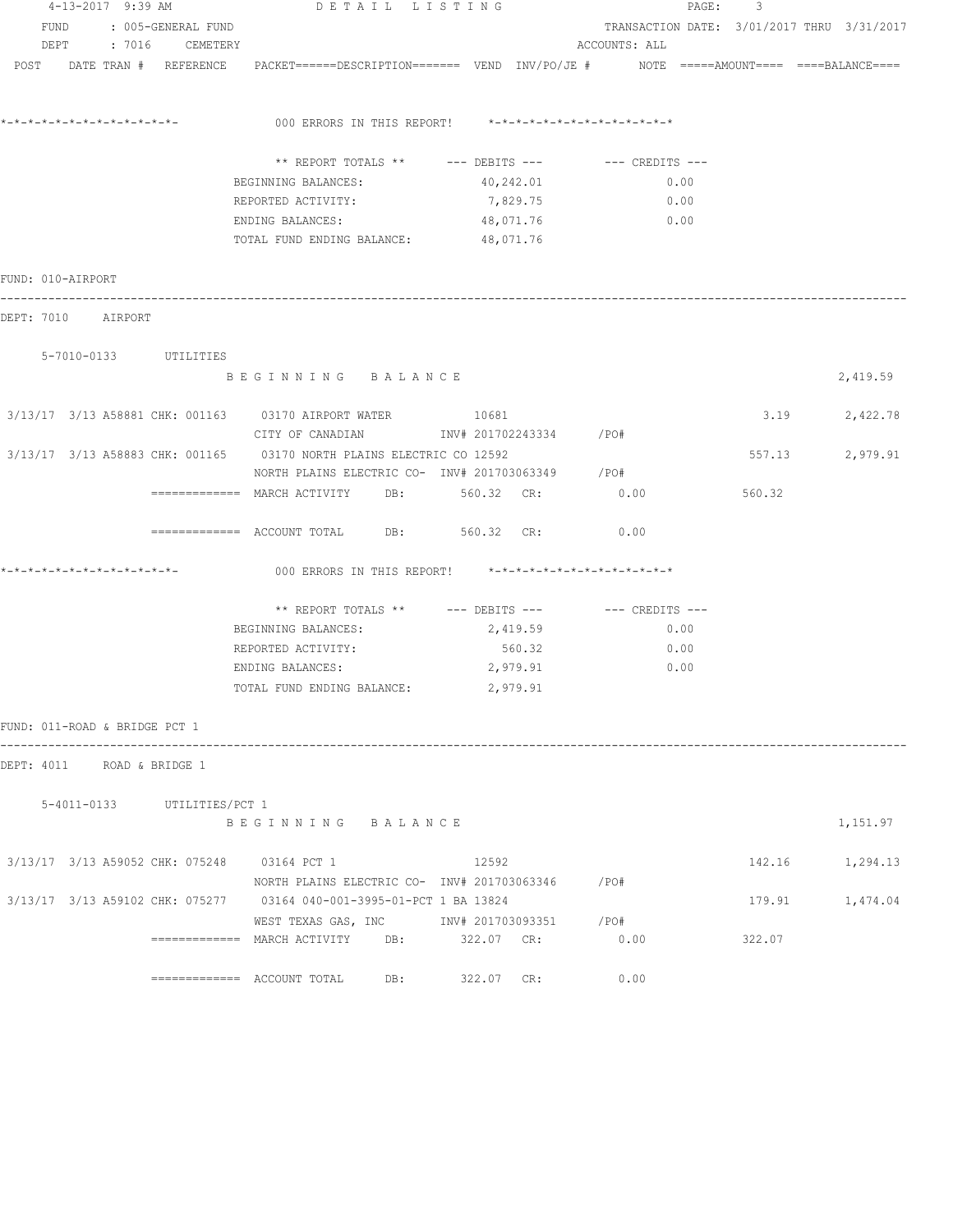|                               | 4-13-2017 9:39 AM |                             | DETAIL LISTING                                                                                                            |            |               | 3<br>PAGE: |                                            |
|-------------------------------|-------------------|-----------------------------|---------------------------------------------------------------------------------------------------------------------------|------------|---------------|------------|--------------------------------------------|
| FUND                          |                   | : 005-GENERAL FUND          |                                                                                                                           |            |               |            | TRANSACTION DATE: 3/01/2017 THRU 3/31/2017 |
|                               |                   | DEPT : 7016 CEMETERY        |                                                                                                                           |            | ACCOUNTS: ALL |            |                                            |
|                               |                   |                             | POST DATE TRAN # REFERENCE PACKET======DESCRIPTION======= VEND INV/PO/JE # NOTE =====AMOUNT==== ===BALANCE====            |            |               |            |                                            |
|                               |                   |                             | 000 ERRORS IN THIS REPORT! *-*-*-*-*-*-*-*-*-*-*-*-*-*-                                                                   |            |               |            |                                            |
|                               |                   |                             | ** REPORT TOTALS ** --- DEBITS --- -- CREDITS ---                                                                         |            |               |            |                                            |
|                               |                   |                             | BEGINNING BALANCES:                                                                                                       | 40,242.01  | 0.00          |            |                                            |
|                               |                   |                             | REPORTED ACTIVITY:                                                                                                        | 7,829.75   | 0.00          |            |                                            |
|                               |                   |                             | ENDING BALANCES:                                                                                                          | 48,071.76  | 0.00          |            |                                            |
|                               |                   |                             | TOTAL FUND ENDING BALANCE: 48,071.76                                                                                      |            |               |            |                                            |
| FUND: 010-AIRPORT             |                   |                             |                                                                                                                           |            |               |            |                                            |
| DEPT: 7010 AIRPORT            |                   |                             |                                                                                                                           |            |               |            |                                            |
|                               |                   | 5-7010-0133 UTILITIES       |                                                                                                                           |            |               |            |                                            |
|                               |                   |                             | BEGINNING BALANCE                                                                                                         |            |               |            | 2,419.59                                   |
|                               |                   |                             | 3/13/17 3/13 A58881 CHK: 001163 03170 AIRPORT WATER 10681<br>CITY OF CANADIAN 1NV# 201702243334 /PO#                      |            |               |            | 3.19 2,422.78                              |
|                               |                   |                             | 3/13/17 3/13 A58883 CHK: 001165 03170 NORTH PLAINS ELECTRIC CO 12592<br>NORTH PLAINS ELECTRIC CO- INV# 201703063349 / PO# |            |               |            | 557.13 2,979.91                            |
|                               |                   |                             | ============ MARCH ACTIVITY DB: 560.32 CR: 0.00                                                                           |            |               | 560.32     |                                            |
|                               |                   |                             | $\overline{\phantom{1}}$ ============ ACCOUNT TOTAL DB: 560.32 CR:                                                        |            | 0.00          |            |                                            |
|                               |                   |                             | 000 ERRORS IN THIS REPORT! $*-*-*-*-*-*-*-*-*-*-*-*-*-*-**$                                                               |            |               |            |                                            |
|                               |                   |                             | ** REPORT TOTALS ** --- DEBITS --- -- CREDITS ---                                                                         |            |               |            |                                            |
|                               |                   |                             | BEGINNING BALANCES:                                                                                                       | 2,419.59   | 0.00          |            |                                            |
|                               |                   |                             | REPORTED ACTIVITY:                                                                                                        | 560.32     | 0.00          |            |                                            |
|                               |                   |                             | ENDING BALANCES:                                                                                                          | 2,979.91   | 0.00          |            |                                            |
|                               |                   |                             | TOTAL FUND ENDING BALANCE:                                                                                                | 2,979.91   |               |            |                                            |
| FUND: 011-ROAD & BRIDGE PCT 1 |                   |                             |                                                                                                                           |            |               |            |                                            |
| DEPT: 4011                    |                   | ROAD & BRIDGE 1             |                                                                                                                           |            |               |            |                                            |
|                               |                   | 5-4011-0133 UTILITIES/PCT 1 |                                                                                                                           |            |               |            |                                            |
|                               |                   |                             | BEGINNING BALANCE                                                                                                         |            |               |            | 1,151.97                                   |
|                               |                   |                             | 3/13/17 3/13 A59052 CHK: 075248 03164 PCT 1                                                                               | 12592      |               |            | 142.16 1,294.13                            |
|                               |                   |                             | NORTH PLAINS ELECTRIC CO- INV# 201703063346 / PO#<br>3/13/17 3/13 A59102 CHK: 075277 03164 040-001-3995-01-PCT 1 BA 13824 |            |               |            | 179.91 1,474.04                            |
|                               |                   |                             | WEST TEXAS GAS, INC MONTH 201703093351 / PO#                                                                              |            |               |            |                                            |
|                               |                   |                             | ============= MARCH ACTIVITY DB: 322.07 CR:                                                                               |            | 0.00          | 322.07     |                                            |
|                               |                   |                             | $\equiv$ ============= ACCOUNT TOTAL<br>DB:                                                                               | 322.07 CR: | 0.00          |            |                                            |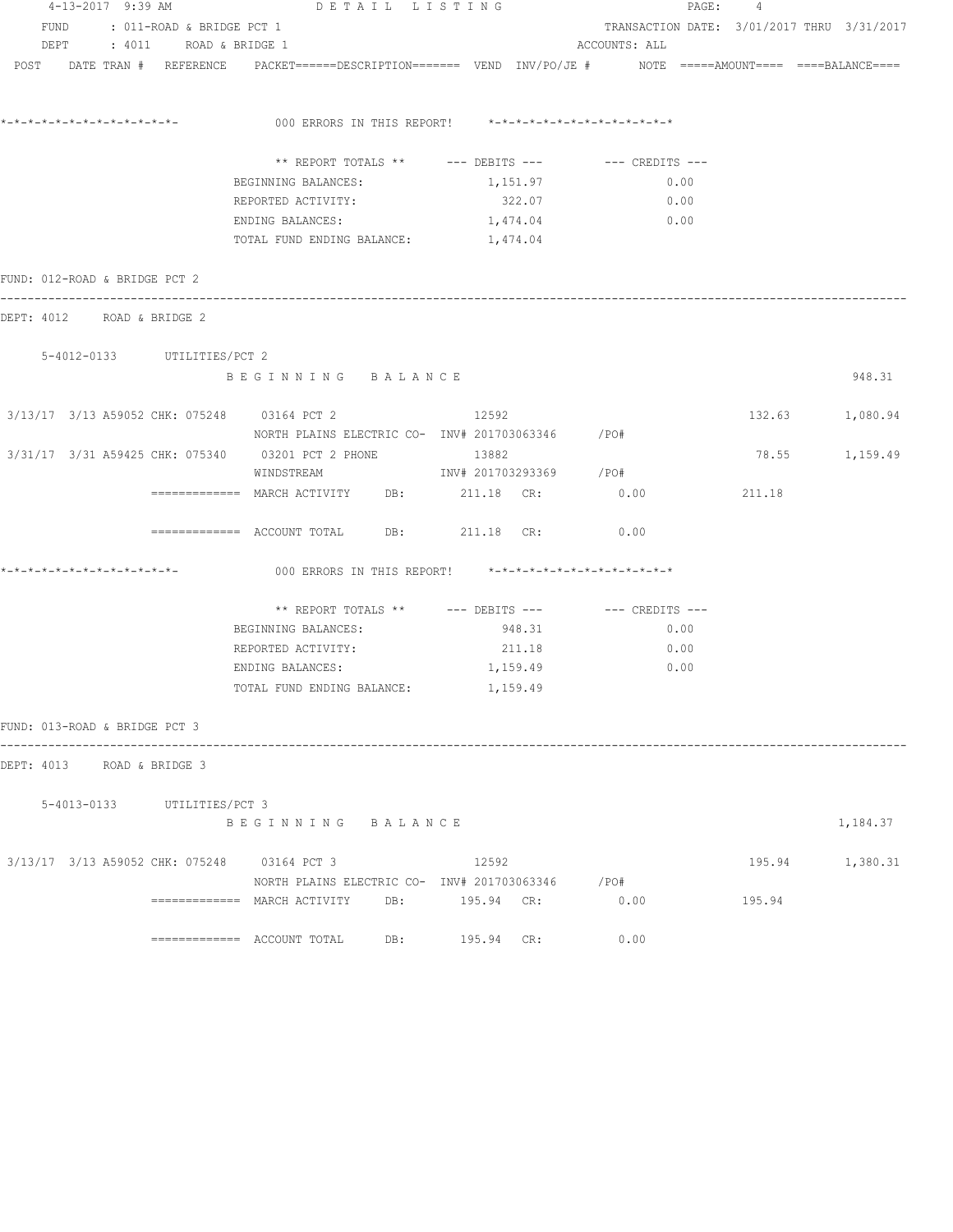| 4-13-2017 9:39 AM                           |                                | DETAIL LISTING                                                                                                  |                |                                            | PAGE: 4 |                 |
|---------------------------------------------|--------------------------------|-----------------------------------------------------------------------------------------------------------------|----------------|--------------------------------------------|---------|-----------------|
|                                             | FUND : 011-ROAD & BRIDGE PCT 1 |                                                                                                                 |                | TRANSACTION DATE: 3/01/2017 THRU 3/31/2017 |         |                 |
|                                             | DEPT : 4011 ROAD & BRIDGE 1    |                                                                                                                 |                | ACCOUNTS: ALL                              |         |                 |
|                                             |                                | POST DATE TRAN # REFERENCE PACKET======DESCRIPTION======= VEND INV/PO/JE # NOTE =====AMOUNT==== ====BALANCE==== |                |                                            |         |                 |
|                                             |                                |                                                                                                                 |                |                                            |         |                 |
|                                             |                                | 000 ERRORS IN THIS REPORT! *-*-*-*-*-*-*-*-*-*-*-*-*-*-                                                         |                |                                            |         |                 |
|                                             |                                | ** REPORT TOTALS ** --- DEBITS --- -- CREDITS ---                                                               |                |                                            |         |                 |
|                                             |                                | BEGINNING BALANCES:                                                                                             | 1,151.97       | 0.00                                       |         |                 |
|                                             |                                | REPORTED ACTIVITY:                                                                                              | 322.07         | 0.00                                       |         |                 |
|                                             |                                | ENDING BALANCES:                                                                                                | 1,474.04       | 0.00                                       |         |                 |
|                                             |                                | TOTAL FUND ENDING BALANCE: 1,474.04                                                                             |                |                                            |         |                 |
| FUND: 012-ROAD & BRIDGE PCT 2               |                                |                                                                                                                 |                |                                            |         |                 |
| DEPT: 4012 ROAD & BRIDGE 2                  |                                |                                                                                                                 |                |                                            |         |                 |
| 5-4012-0133 UTILITIES/PCT 2                 |                                |                                                                                                                 |                |                                            |         |                 |
|                                             |                                | BEGINNING BALANCE                                                                                               |                |                                            |         | 948.31          |
|                                             |                                | 3/13/17 3/13 A59052 CHK: 075248 03164 PCT 2<br>NORTH PLAINS ELECTRIC CO- INV# 201703063346 / PO#                | 12592          |                                            |         | 132.63 1,080.94 |
|                                             |                                | 3/31/17  3/31  A59425  CHK:  075340  03201  PCT  2  PHONE                                                       | 13882          |                                            |         | 78.55 1,159.49  |
|                                             |                                | WINDSTREAM 1NV# 201703293369 /PO#                                                                               |                |                                            |         |                 |
|                                             |                                | ============ MARCH ACTIVITY DB: 211.18 CR: 0.00                                                                 |                |                                            | 211.18  |                 |
|                                             |                                | ============ ACCOUNT TOTAL DB: 211.18 CR: 0.00                                                                  |                |                                            |         |                 |
| *-*-*-*-*-*-*-*-*-*-*-*-*-*-                |                                | 000 ERRORS IN THIS REPORT! *-*-*-*-*-*-*-*-*-*-*-*-*-*-                                                         |                |                                            |         |                 |
|                                             |                                | ** REPORT TOTALS ** --- DEBITS --- -- -- CREDITS ---                                                            |                |                                            |         |                 |
|                                             |                                | BEGINNING BALANCES:                                                                                             | 948.31         | 0.00                                       |         |                 |
|                                             |                                | REPORTED ACTIVITY:                                                                                              | 211.18         | 0.00                                       |         |                 |
|                                             |                                | ENDING BALANCES:                                                                                                | 1,159.49       | 0.00                                       |         |                 |
|                                             |                                | TOTAL FUND ENDING BALANCE:                                                                                      | 1,159.49       |                                            |         |                 |
| FUND: 013-ROAD & BRIDGE PCT 3               |                                |                                                                                                                 |                |                                            |         |                 |
| DEPT: 4013 ROAD & BRIDGE 3                  |                                |                                                                                                                 |                |                                            |         |                 |
|                                             | 5-4013-0133 UTILITIES/PCT 3    |                                                                                                                 |                |                                            |         |                 |
|                                             |                                | BEGINNING BALANCE                                                                                               |                |                                            |         | 1,184.37        |
| 3/13/17 3/13 A59052 CHK: 075248 03164 PCT 3 |                                |                                                                                                                 | 12592          |                                            |         | 195.94 1,380.31 |
|                                             |                                | NORTH PLAINS ELECTRIC CO- INV# 201703063346 /PO#                                                                |                |                                            |         |                 |
|                                             |                                | $==========$ MARCH ACTIVITY                                                                                     | DB: 195.94 CR: | 0.00                                       | 195.94  |                 |
|                                             |                                |                                                                                                                 | 195.94 CR:     | 0.00                                       |         |                 |